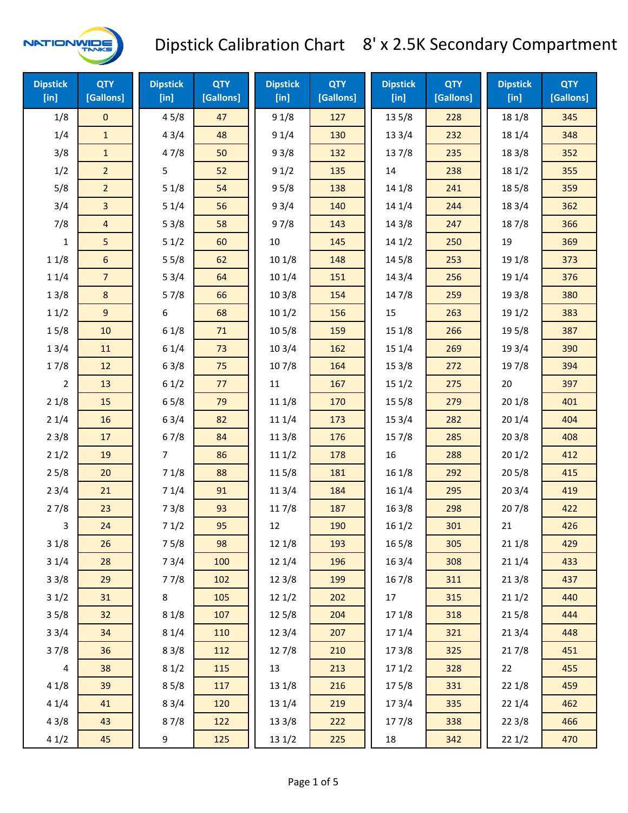

| <b>Dipstick</b><br>$[$ in] | <b>QTY</b><br>[Gallons] | <b>Dipstick</b><br>[in] | <b>QTY</b><br>[Gallons] | <b>Dipstick</b><br>[in] | <b>QTY</b><br>[Gallons] | <b>Dipstick</b><br>[in] | <b>QTY</b><br>[Gallons] | <b>Dipstick</b><br>$[$ in] | <b>QTY</b><br>[Gallons] |
|----------------------------|-------------------------|-------------------------|-------------------------|-------------------------|-------------------------|-------------------------|-------------------------|----------------------------|-------------------------|
| 1/8                        | 0                       | 45/8                    | 47                      | 91/8                    | 127                     | 13 5/8                  | 228                     | 18 1/8                     | 345                     |
| 1/4                        | $\mathbf{1}$            | 43/4                    | 48                      | 91/4                    | 130                     | 133/4                   | 232                     | 18 1/4                     | 348                     |
| 3/8                        | $\mathbf{1}$            | 47/8                    | 50                      | 93/8                    | 132                     | 137/8                   | 235                     | 18 3/8                     | 352                     |
| 1/2                        | $\overline{2}$          | 5                       | 52                      | 91/2                    | 135                     | 14                      | 238                     | 181/2                      | 355                     |
| 5/8                        | $\overline{2}$          | 51/8                    | 54                      | 95/8                    | 138                     | 14 1/8                  | 241                     | 185/8                      | 359                     |
| 3/4                        | 3                       | 51/4                    | 56                      | 93/4                    | 140                     | 14 1/4                  | 244                     | 18 3/4                     | 362                     |
| 7/8                        | $\overline{4}$          | 53/8                    | 58                      | 97/8                    | 143                     | 14 3/8                  | 247                     | 187/8                      | 366                     |
| $\mathbf{1}$               | 5                       | 51/2                    | 60                      | 10                      | 145                     | 141/2                   | 250                     | 19                         | 369                     |
| 11/8                       | 6                       | 55/8                    | 62                      | 101/8                   | 148                     | 14 5/8                  | 253                     | 19 1/8                     | 373                     |
| 11/4                       | $\overline{7}$          | 53/4                    | 64                      | 101/4                   | 151                     | 14 3/4                  | 256                     | 19 1/4                     | 376                     |
| 13/8                       | $\bf 8$                 | 57/8                    | 66                      | 103/8                   | 154                     | 147/8                   | 259                     | 19 3/8                     | 380                     |
| 11/2                       | 9                       | 6                       | 68                      | 101/2                   | 156                     | 15                      | 263                     | 19 1/2                     | 383                     |
| 15/8                       | 10                      | 61/8                    | 71                      | 10 <sub>5</sub> /8      | 159                     | 15 1/8                  | 266                     | 195/8                      | 387                     |
| 13/4                       | 11                      | 61/4                    | 73                      | 103/4                   | 162                     | 15 1/4                  | 269                     | 19 3/4                     | 390                     |
| 17/8                       | 12                      | 63/8                    | 75                      | 107/8                   | 164                     | 15 3/8                  | 272                     | 197/8                      | 394                     |
| $\overline{2}$             | 13                      | 61/2                    | 77                      | $11\,$                  | 167                     | 151/2                   | 275                     | 20                         | 397                     |
| 21/8                       | 15                      | 65/8                    | 79                      | 11 1/8                  | 170                     | 15 5/8                  | 279                     | 201/8                      | 401                     |
| 21/4                       | 16                      | 63/4                    | 82                      | 11 1/4                  | 173                     | 153/4                   | 282                     | 201/4                      | 404                     |
| 23/8                       | 17                      | 67/8                    | 84                      | 113/8                   | 176                     | 15 7/8                  | 285                     | 203/8                      | 408                     |
| 21/2                       | 19                      | $\overline{7}$          | 86                      | 111/2                   | 178                     | 16                      | 288                     | 201/2                      | 412                     |
| 25/8                       | 20                      | 71/8                    | 88                      | 11 5/8                  | 181                     | 161/8                   | 292                     | 205/8                      | 415                     |
| 23/4                       | 21                      | 71/4                    | 91                      | 113/4                   | 184                     | 16 1/4                  | 295                     | 203/4                      | 419                     |
| 27/8                       | 23                      | 73/8                    | 93                      | 11 7/8                  | 187                     | 16 3/8                  | 298                     | 207/8                      | 422                     |
| 3                          | 24                      | 71/2                    | 95                      | 12                      | 190                     | 161/2                   | 301                     | 21                         | 426                     |
| 31/8                       | 26                      | 75/8                    | 98                      | 12 1/8                  | 193                     | 165/8                   | 305                     | 211/8                      | 429                     |
| 31/4                       | 28                      | 73/4                    | 100                     | 12 1/4                  | 196                     | 16 3/4                  | 308                     | 211/4                      | 433                     |
| 33/8                       | 29                      | 77/8                    | 102                     | 12 3/8                  | 199                     | 16 7/8                  | 311                     | 213/8                      | 437                     |
| 31/2                       | 31                      | 8                       | 105                     | 121/2                   | 202                     | 17                      | 315                     | 211/2                      | 440                     |
| 35/8                       | 32                      | 81/8                    | 107                     | 125/8                   | 204                     | 17 1/8                  | 318                     | 215/8                      | 444                     |
| 33/4                       | 34                      | 81/4                    | 110                     | 123/4                   | 207                     | 17 1/4                  | 321                     | 213/4                      | 448                     |
| 37/8                       | 36                      | 83/8                    | 112                     | 127/8                   | 210                     | 173/8                   | 325                     | 217/8                      | 451                     |
| 4                          | 38                      | 81/2                    | 115                     | 13                      | 213                     | 171/2                   | 328                     | 22                         | 455                     |
| 41/8                       | 39                      | 85/8                    | 117                     | 13 1/8                  | 216                     | 175/8                   | 331                     | 221/8                      | 459                     |
| 41/4                       | 41                      | 83/4                    | 120                     | 13 1/4                  | 219                     | 17 3/4                  | 335                     | 221/4                      | 462                     |
| 43/8                       | 43                      | 87/8                    | 122                     | 13 3/8                  | 222                     | 177/8                   | 338                     | 223/8                      | 466                     |
| 41/2                       | 45                      | 9                       | 125                     | 13 1/2                  | 225                     | 18                      | 342                     | 221/2                      | 470                     |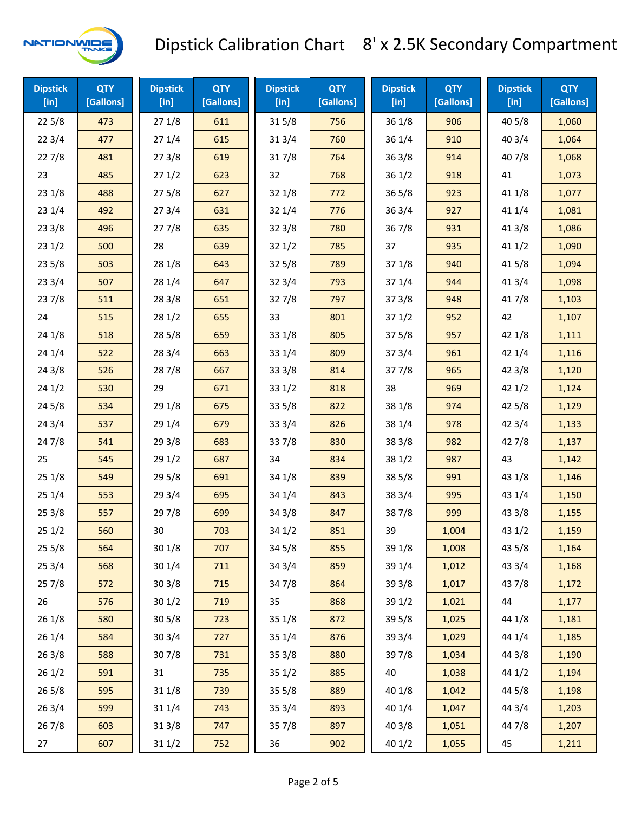

| <b>Dipstick</b><br>$[$ in] | <b>QTY</b><br>[Gallons] | <b>Dipstick</b><br>$[$ in] | <b>QTY</b><br>[Gallons] | <b>Dipstick</b><br>$[$ in] | <b>QTY</b><br>[Gallons] | <b>Dipstick</b><br>[in] | <b>QTY</b><br>[Gallons] | <b>Dipstick</b><br>$[$ in] | <b>QTY</b><br>[Gallons] |
|----------------------------|-------------------------|----------------------------|-------------------------|----------------------------|-------------------------|-------------------------|-------------------------|----------------------------|-------------------------|
| 225/8                      | 473                     | 271/8                      | 611                     | 315/8                      | 756                     | 36 1/8                  | 906                     | 405/8                      | 1,060                   |
| 223/4                      | 477                     | 271/4                      | 615                     | 313/4                      | 760                     | 36 1/4                  | 910                     | 403/4                      | 1,064                   |
| 227/8                      | 481                     | 273/8                      | 619                     | 317/8                      | 764                     | 36 3/8                  | 914                     | 407/8                      | 1,068                   |
| 23                         | 485                     | 271/2                      | 623                     | 32                         | 768                     | 361/2                   | 918                     | 41                         | 1,073                   |
| 23 1/8                     | 488                     | 275/8                      | 627                     | 32 1/8                     | 772                     | 36 5/8                  | 923                     | 41 1/8                     | 1,077                   |
| 23 1/4                     | 492                     | 273/4                      | 631                     | 321/4                      | 776                     | 36 3/4                  | 927                     | 41 1/4                     | 1,081                   |
| 23 3/8                     | 496                     | 277/8                      | 635                     | 323/8                      | 780                     | 367/8                   | 931                     | 413/8                      | 1,086                   |
| 231/2                      | 500                     | 28                         | 639                     | 321/2                      | 785                     | 37                      | 935                     | 411/2                      | 1,090                   |
| 235/8                      | 503                     | 28 1/8                     | 643                     | 325/8                      | 789                     | 37 1/8                  | 940                     | 41 5/8                     | 1,094                   |
| 233/4                      | 507                     | 28 1/4                     | 647                     | 323/4                      | 793                     | 37 1/4                  | 944                     | 41 3/4                     | 1,098                   |
| 237/8                      | 511                     | 28 3/8                     | 651                     | 327/8                      | 797                     | 373/8                   | 948                     | 417/8                      | 1,103                   |
| 24                         | 515                     | 281/2                      | 655                     | 33                         | 801                     | 371/2                   | 952                     | 42                         | 1,107                   |
| 241/8                      | 518                     | 285/8                      | 659                     | 33 1/8                     | 805                     | 375/8                   | 957                     | 42 1/8                     | 1,111                   |
| 24 1/4                     | 522                     | 283/4                      | 663                     | 33 1/4                     | 809                     | 373/4                   | 961                     | 421/4                      | 1,116                   |
| 243/8                      | 526                     | 287/8                      | 667                     | 33 3/8                     | 814                     | 377/8                   | 965                     | 42 3/8                     | 1,120                   |
| 241/2                      | 530                     | 29                         | 671                     | 331/2                      | 818                     | 38                      | 969                     | 421/2                      | 1,124                   |
| 245/8                      | 534                     | 29 1/8                     | 675                     | 335/8                      | 822                     | 38 1/8                  | 974                     | 42 5/8                     | 1,129                   |
| 243/4                      | 537                     | 29 1/4                     | 679                     | 33 3/4                     | 826                     | 38 1/4                  | 978                     | 42 3/4                     | 1,133                   |
| 24 7/8                     | 541                     | 293/8                      | 683                     | 337/8                      | 830                     | 38 3/8                  | 982                     | 42 7/8                     | 1,137                   |
| 25                         | 545                     | 291/2                      | 687                     | 34                         | 834                     | 38 1/2                  | 987                     | 43                         | 1,142                   |
| 251/8                      | 549                     | 295/8                      | 691                     | 34 1/8                     | 839                     | 38 5/8                  | 991                     | 43 1/8                     | 1,146                   |
| 251/4                      | 553                     | 29 3/4                     | 695                     | 34 1/4                     | 843                     | 38 3/4                  | 995                     | 43 1/4                     | 1,150                   |
| 253/8                      | 557                     | 297/8                      | 699                     | 34 3/8                     | 847                     | 387/8                   | 999                     | 43 3/8                     | 1,155                   |
| 251/2                      | 560                     | 30                         | 703                     | 34 1/2                     | 851                     | 39                      | 1,004                   | 43 1/2                     | 1,159                   |
| 255/8                      | 564                     | 301/8                      | 707                     | 345/8                      | 855                     | 39 1/8                  | 1,008                   | 43 5/8                     | 1,164                   |
| 25 3/4                     | 568                     | 301/4                      | 711                     | 343/4                      | 859                     | 39 1/4                  | 1,012                   | 43 3/4                     | 1,168                   |
| 257/8                      | 572                     | 303/8                      | 715                     | 347/8                      | 864                     | 39 3/8                  | 1,017                   | 437/8                      | 1,172                   |
| 26                         | 576                     | 301/2                      | 719                     | 35                         | 868                     | 39 1/2                  | 1,021                   | 44                         | 1,177                   |
| 26 1/8                     | 580                     | 305/8                      | 723                     | 35 1/8                     | 872                     | 39 5/8                  | 1,025                   | 44 1/8                     | 1,181                   |
| 26 1/4                     | 584                     | 303/4                      | 727                     | 35 1/4                     | 876                     | 39 3/4                  | 1,029                   | 44 1/4                     | 1,185                   |
| 263/8                      | 588                     | 307/8                      | 731                     | 35 3/8                     | 880                     | 397/8                   | 1,034                   | 44 3/8                     | 1,190                   |
| 261/2                      | 591                     | 31                         | 735                     | 351/2                      | 885                     | 40                      | 1,038                   | 44 1/2                     | 1,194                   |
| 265/8                      | 595                     | 31 1/8                     | 739                     | 355/8                      | 889                     | 40 1/8                  | 1,042                   | 44 5/8                     | 1,198                   |
| 263/4                      | 599                     | 31 1/4                     | 743                     | 353/4                      | 893                     | 40 1/4                  | 1,047                   | 44 3/4                     | 1,203                   |
| 267/8                      | 603                     | 31 3/8                     | 747                     | 357/8                      | 897                     | 40 3/8                  | 1,051                   | 447/8                      | 1,207                   |
| 27                         | 607                     | 311/2                      | 752                     | 36                         | 902                     | 40 1/2                  | 1,055                   | 45                         | 1,211                   |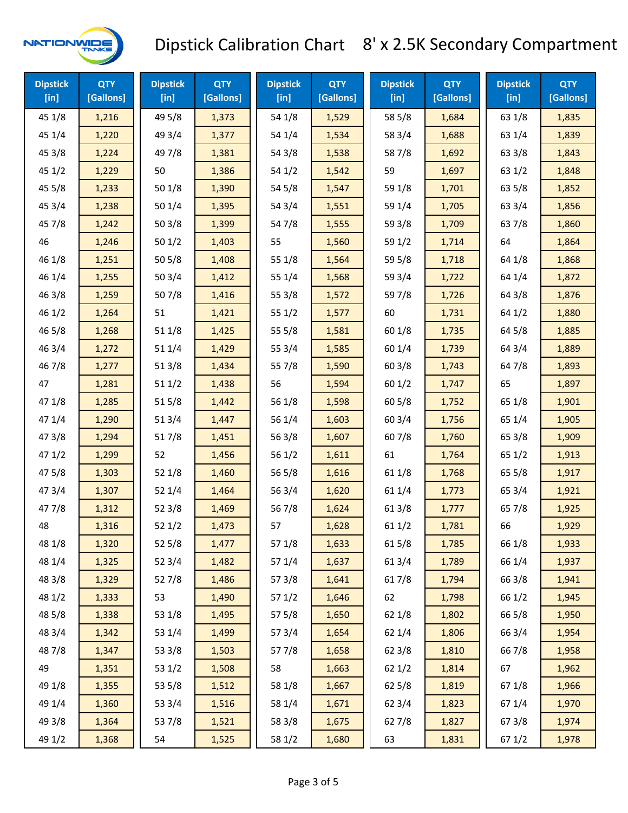

| <b>Dipstick</b><br>[in] | <b>QTY</b><br>[Gallons] | <b>Dipstick</b><br>$[$ in] | <b>QTY</b><br>[Gallons] | <b>Dipstick</b><br>$[$ in] | <b>QTY</b><br>[Gallons] | <b>Dipstick</b><br>$[$ in] | <b>QTY</b><br>[Gallons] | <b>Dipstick</b><br>$[$ in] | <b>QTY</b><br>[Gallons] |
|-------------------------|-------------------------|----------------------------|-------------------------|----------------------------|-------------------------|----------------------------|-------------------------|----------------------------|-------------------------|
| 45 1/8                  | 1,216                   | 49 5/8                     | 1,373                   | 54 1/8                     | 1,529                   | 58 5/8                     | 1,684                   | 63 1/8                     | 1,835                   |
| 45 1/4                  | 1,220                   | 49 3/4                     | 1,377                   | 54 1/4                     | 1,534                   | 58 3/4                     | 1,688                   | 63 1/4                     | 1,839                   |
| 45 3/8                  | 1,224                   | 497/8                      | 1,381                   | 54 3/8                     | 1,538                   | 587/8                      | 1,692                   | 63 3/8                     | 1,843                   |
| 451/2                   | 1,229                   | 50                         | 1,386                   | 54 1/2                     | 1,542                   | 59                         | 1,697                   | 63 1/2                     | 1,848                   |
| 45 5/8                  | 1,233                   | 50 1/8                     | 1,390                   | 54 5/8                     | 1,547                   | 59 1/8                     | 1,701                   | 63 5/8                     | 1,852                   |
| 453/4                   | 1,238                   | 501/4                      | 1,395                   | 54 3/4                     | 1,551                   | 59 1/4                     | 1,705                   | 63 3/4                     | 1,856                   |
| 45 7/8                  | 1,242                   | 503/8                      | 1,399                   | 54 7/8                     | 1,555                   | 59 3/8                     | 1,709                   | 637/8                      | 1,860                   |
| 46                      | 1,246                   | 501/2                      | 1,403                   | 55                         | 1,560                   | 59 1/2                     | 1,714                   | 64                         | 1,864                   |
| 46 1/8                  | 1,251                   | 505/8                      | 1,408                   | 55 1/8                     | 1,564                   | 59 5/8                     | 1,718                   | 64 1/8                     | 1,868                   |
| 46 1/4                  | 1,255                   | 503/4                      | 1,412                   | 55 1/4                     | 1,568                   | 59 3/4                     | 1,722                   | 64 1/4                     | 1,872                   |
| 46 3/8                  | 1,259                   | 507/8                      | 1,416                   | 55 3/8                     | 1,572                   | 59 7/8                     | 1,726                   | 64 3/8                     | 1,876                   |
| 46 1/2                  | 1,264                   | 51                         | 1,421                   | 551/2                      | 1,577                   | 60                         | 1,731                   | 64 1/2                     | 1,880                   |
| 46 5/8                  | 1,268                   | 51 1/8                     | 1,425                   | 55 5/8                     | 1,581                   | 60 1/8                     | 1,735                   | 64 5/8                     | 1,885                   |
| 46 3/4                  | 1,272                   | 51 1/4                     | 1,429                   | 55 3/4                     | 1,585                   | 60 1/4                     | 1,739                   | 64 3/4                     | 1,889                   |
| 46 7/8                  | 1,277                   | 513/8                      | 1,434                   | 55 7/8                     | 1,590                   | 60 3/8                     | 1,743                   | 647/8                      | 1,893                   |
| 47                      | 1,281                   | 511/2                      | 1,438                   | 56                         | 1,594                   | 60 1/2                     | 1,747                   | 65                         | 1,897                   |
| 47 1/8                  | 1,285                   | 515/8                      | 1,442                   | 56 1/8                     | 1,598                   | 60 5/8                     | 1,752                   | 65 1/8                     | 1,901                   |
| 47 1/4                  | 1,290                   | 51 3/4                     | 1,447                   | 56 1/4                     | 1,603                   | 603/4                      | 1,756                   | 65 1/4                     | 1,905                   |
| 473/8                   | 1,294                   | 517/8                      | 1,451                   | 56 3/8                     | 1,607                   | 607/8                      | 1,760                   | 65 3/8                     | 1,909                   |
| 471/2                   | 1,299                   | 52                         | 1,456                   | 56 1/2                     | 1,611                   | 61                         | 1,764                   | 65 1/2                     | 1,913                   |
| 475/8                   | 1,303                   | 52 1/8                     | 1,460                   | 56 5/8                     | 1,616                   | 61 1/8                     | 1,768                   | 65 5/8                     | 1,917                   |
| 473/4                   | 1,307                   | 52 1/4                     | 1,464                   | 56 3/4                     | 1,620                   | 61 1/4                     | 1,773                   | 65 3/4                     | 1,921                   |
| 47 7/8                  | 1,312                   | 523/8                      | 1,469                   | 567/8                      | 1,624                   | 61 3/8                     | 1,777                   | 65 7/8                     | 1,925                   |
| 48                      | 1,316                   | 521/2                      | 1,473                   | 57                         | 1,628                   | 611/2                      | 1,781                   | 66                         | 1,929                   |
| 48 1/8                  | 1,320                   | 525/8                      | 1,477                   | 57 1/8                     | 1,633                   | 615/8                      | 1,785                   | 66 1/8                     | 1,933                   |
| 48 1/4                  | 1,325                   | 52 3/4                     | 1,482                   | 57 1/4                     | 1,637                   | 61 3/4                     | 1,789                   | 66 1/4                     | 1,937                   |
| 48 3/8                  | 1,329                   | 527/8                      | 1,486                   | 57 3/8                     | 1,641                   | 617/8                      | 1,794                   | 66 3/8                     | 1,941                   |
| 48 1/2                  | 1,333                   | 53                         | 1,490                   | 571/2                      | 1,646                   | 62                         | 1,798                   | 66 1/2                     | 1,945                   |
| 48 5/8                  | 1,338                   | 53 1/8                     | 1,495                   | 57 5/8                     | 1,650                   | 62 1/8                     | 1,802                   | 66 5/8                     | 1,950                   |
| 48 3/4                  | 1,342                   | 53 1/4                     | 1,499                   | 573/4                      | 1,654                   | 62 1/4                     | 1,806                   | 66 3/4                     | 1,954                   |
| 487/8                   | 1,347                   | 53 3/8                     | 1,503                   | 577/8                      | 1,658                   | 62 3/8                     | 1,810                   | 667/8                      | 1,958                   |
| 49                      | 1,351                   | 53 1/2                     | 1,508                   | 58                         | 1,663                   | 62 1/2                     | 1,814                   | 67                         | 1,962                   |
| 49 1/8                  | 1,355                   | 53 5/8                     | 1,512                   | 58 1/8                     | 1,667                   | 62 5/8                     | 1,819                   | 671/8                      | 1,966                   |
| 49 1/4                  | 1,360                   | 53 3/4                     | 1,516                   | 58 1/4                     | 1,671                   | 62 3/4                     | 1,823                   | 671/4                      | 1,970                   |
| 49 3/8                  | 1,364                   | 537/8                      | 1,521                   | 58 3/8                     | 1,675                   | 627/8                      | 1,827                   | 67 3/8                     | 1,974                   |
| 49 1/2                  | 1,368                   | 54                         | 1,525                   | 58 1/2                     | 1,680                   | 63                         | 1,831                   | 671/2                      | 1,978                   |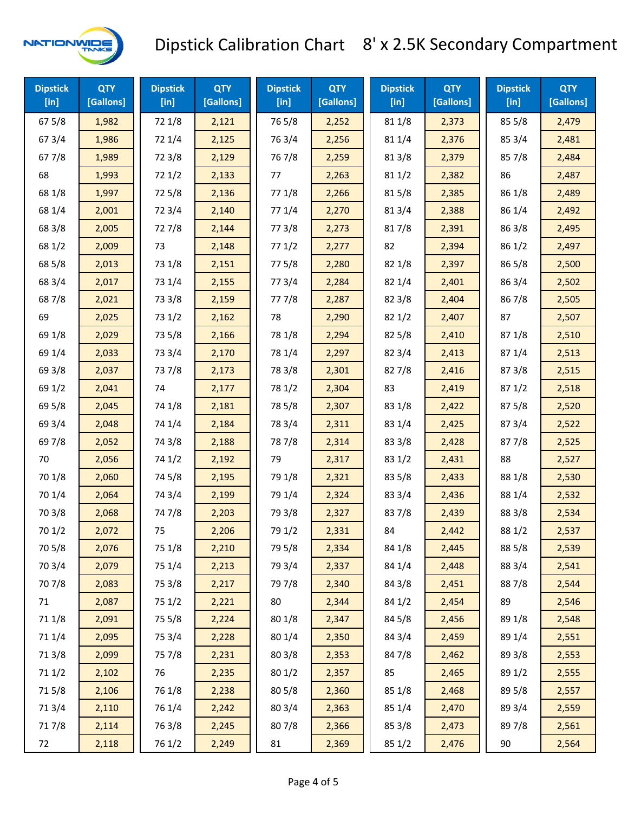

| <b>Dipstick</b><br>$[$ in] | <b>QTY</b><br>[Gallons] | <b>Dipstick</b><br>$[$ in] | <b>QTY</b><br>[Gallons] | <b>Dipstick</b><br>$[$ in] | <b>QTY</b><br>[Gallons] | <b>Dipstick</b><br>$[$ in] | <b>QTY</b><br>[Gallons] | <b>Dipstick</b><br>$[$ in] | <b>QTY</b><br>[Gallons] |
|----------------------------|-------------------------|----------------------------|-------------------------|----------------------------|-------------------------|----------------------------|-------------------------|----------------------------|-------------------------|
| 67 5/8                     | 1,982                   | 72 1/8                     | 2,121                   | 765/8                      | 2,252                   | 81 1/8                     | 2,373                   | 85 5/8                     | 2,479                   |
| 67 3/4                     | 1,986                   | 72 1/4                     | 2,125                   | 76 3/4                     | 2,256                   | 81 1/4                     | 2,376                   | 85 3/4                     | 2,481                   |
| 67 7/8                     | 1,989                   | 72 3/8                     | 2,129                   | 767/8                      | 2,259                   | 81 3/8                     | 2,379                   | 857/8                      | 2,484                   |
| 68                         | 1,993                   | 72 1/2                     | 2,133                   | 77                         | 2,263                   | 81 1/2                     | 2,382                   | 86                         | 2,487                   |
| 68 1/8                     | 1,997                   | 725/8                      | 2,136                   | 77 1/8                     | 2,266                   | 815/8                      | 2,385                   | 86 1/8                     | 2,489                   |
| 68 1/4                     | 2,001                   | 72 3/4                     | 2,140                   | 77 1/4                     | 2,270                   | 813/4                      | 2,388                   | 86 1/4                     | 2,492                   |
| 68 3/8                     | 2,005                   | 727/8                      | 2,144                   | 77 3/8                     | 2,273                   | 817/8                      | 2,391                   | 86 3/8                     | 2,495                   |
| 68 1/2                     | 2,009                   | 73                         | 2,148                   | 771/2                      | 2,277                   | 82                         | 2,394                   | 86 1/2                     | 2,497                   |
| 68 5/8                     | 2,013                   | 73 1/8                     | 2,151                   | 775/8                      | 2,280                   | 82 1/8                     | 2,397                   | 865/8                      | 2,500                   |
| 68 3/4                     | 2,017                   | 73 1/4                     | 2,155                   | 773/4                      | 2,284                   | 82 1/4                     | 2,401                   | 86 3/4                     | 2,502                   |
| 687/8                      | 2,021                   | 73 3/8                     | 2,159                   | 777/8                      | 2,287                   | 82 3/8                     | 2,404                   | 867/8                      | 2,505                   |
| 69                         | 2,025                   | 73 1/2                     | 2,162                   | 78                         | 2,290                   | 82 1/2                     | 2,407                   | 87                         | 2,507                   |
| 69 1/8                     | 2,029                   | 73 5/8                     | 2,166                   | 78 1/8                     | 2,294                   | 825/8                      | 2,410                   | 871/8                      | 2,510                   |
| 69 1/4                     | 2,033                   | 73 3/4                     | 2,170                   | 78 1/4                     | 2,297                   | 82 3/4                     | 2,413                   | 871/4                      | 2,513                   |
| 69 3/8                     | 2,037                   | 737/8                      | 2,173                   | 78 3/8                     | 2,301                   | 827/8                      | 2,416                   | 87 3/8                     | 2,515                   |
| 69 1/2                     | 2,041                   | 74                         | 2,177                   | 78 1/2                     | 2,304                   | 83                         | 2,419                   | 871/2                      | 2,518                   |
| 69 5/8                     | 2,045                   | 74 1/8                     | 2,181                   | 78 5/8                     | 2,307                   | 83 1/8                     | 2,422                   | 87 5/8                     | 2,520                   |
| 69 3/4                     | 2,048                   | 74 1/4                     | 2,184                   | 78 3/4                     | 2,311                   | 83 1/4                     | 2,425                   | 87 3/4                     | 2,522                   |
| 697/8                      | 2,052                   | 74 3/8                     | 2,188                   | 787/8                      | 2,314                   | 83 3/8                     | 2,428                   | 877/8                      | 2,525                   |
| 70                         | 2,056                   | 74 1/2                     | 2,192                   | 79                         | 2,317                   | 83 1/2                     | 2,431                   | 88                         | 2,527                   |
| 70 1/8                     | 2,060                   | 74 5/8                     | 2,195                   | 79 1/8                     | 2,321                   | 83 5/8                     | 2,433                   | 88 1/8                     | 2,530                   |
| 70 1/4                     | 2,064                   | 74 3/4                     | 2,199                   | 79 1/4                     | 2,324                   | 83 3/4                     | 2,436                   | 88 1/4                     | 2,532                   |
| 70 3/8                     | 2,068                   | 747/8                      | 2,203                   | 79 3/8                     | 2,327                   | 837/8                      | 2,439                   | 88 3/8                     | 2,534                   |
| 70 1/2                     | 2,072                   | 75                         | 2,206                   | 79 1/2                     | 2,331                   | 84                         | 2,442                   | 88 1/2                     | 2,537                   |
| 70 5/8                     | 2,076                   | 75 1/8                     | 2,210                   | 79 5/8                     | 2,334                   | 84 1/8                     | 2,445                   | 88 5/8                     | 2,539                   |
| 70 3/4                     | 2,079                   | 75 1/4                     | 2,213                   | 79 3/4                     | 2,337                   | 84 1/4                     | 2,448                   | 88 3/4                     | 2,541                   |
| 70 7/8                     | 2,083                   | 75 3/8                     | 2,217                   | 79 7/8                     | 2,340                   | 84 3/8                     | 2,451                   | 887/8                      | 2,544                   |
| 71                         | 2,087                   | 75 1/2                     | 2,221                   | 80                         | 2,344                   | 84 1/2                     | 2,454                   | 89                         | 2,546                   |
| 71 1/8                     | 2,091                   | 75 5/8                     | 2,224                   | 80 1/8                     | 2,347                   | 84 5/8                     | 2,456                   | 89 1/8                     | 2,548                   |
| 71 1/4                     | 2,095                   | 75 3/4                     | 2,228                   | 80 1/4                     | 2,350                   | 84 3/4                     | 2,459                   | 89 1/4                     | 2,551                   |
| 713/8                      | 2,099                   | 75 7/8                     | 2,231                   | 80 3/8                     | 2,353                   | 847/8                      | 2,462                   | 89 3/8                     | 2,553                   |
| 71 1/2                     | 2,102                   | 76                         | 2,235                   | 80 1/2                     | 2,357                   | 85                         | 2,465                   | 89 1/2                     | 2,555                   |
| 715/8                      | 2,106                   | 76 1/8                     | 2,238                   | 80 5/8                     | 2,360                   | 85 1/8                     | 2,468                   | 89 5/8                     | 2,557                   |
| 713/4                      | 2,110                   | 76 1/4                     | 2,242                   | 80 3/4                     | 2,363                   | 85 1/4                     | 2,470                   | 89 3/4                     | 2,559                   |
| 717/8                      | 2,114                   | 763/8                      | 2,245                   | 807/8                      | 2,366                   | 85 3/8                     | 2,473                   | 897/8                      | 2,561                   |
| 72                         | 2,118                   | 76 1/2                     | 2,249                   | 81                         | 2,369                   | 85 1/2                     | 2,476                   | 90                         | 2,564                   |